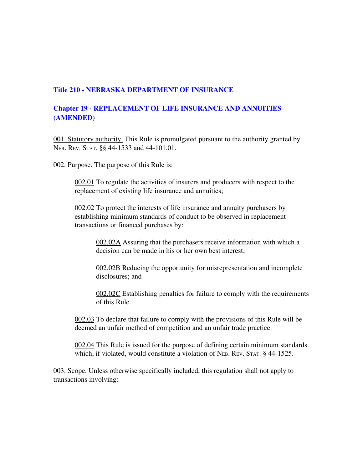## Title 210 - NEBRASKA DEPARTMENT OF INSURANCE

## Chapter 19 REPLACEMENT OF LIFE INSURANCE AND ANNUITIES (AMENDED)

001. Statutory authority. This Rule is promulgated pursuant to the authority granted by NEB. REV. STAT. §§ 44-1533 and 44-101.01.

002. Purpose. The purpose of this Rule is:

002.01 To regulate the activities of insurers and producers with respect to the replacement of existing life insurance and annuities;

002.02 To protect the interests of life insurance and annuity purchasers by establishing minimum standards of conduct to be observed in replacement transactions or financed purchases by:

002.02A Assuring that the purchasers receive information with which a decision can be made in his or her own best interest;

002.02B Reducing the opportunity for misrepresentation and incomplete disclosures; and

002.02C Establishing penalties for failure to comply with the requirements of this Rule.

002.03 To declare that failure to comply with the provisions of this Rule will be deemed an unfair method of competition and an unfair trade practice.

002.04 This Rule is issued for the purpose of defining certain minimum standards which, if violated, would constitute a violation of NEB. REV. STAT. § 44-1525.

003. Scope. Unless otherwise specifically included, this regulation shall not apply to transactions involving: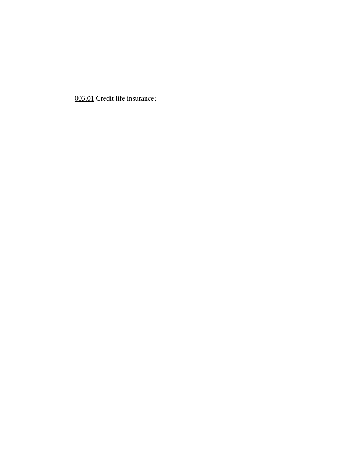003.01 Credit life insurance;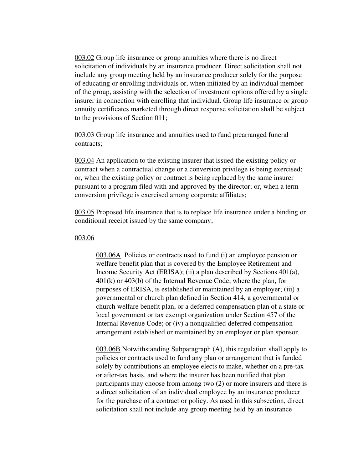003.02 Group life insurance or group annuities where there is no direct solicitation of individuals by an insurance producer. Direct solicitation shall not include any group meeting held by an insurance producer solely for the purpose of educating or enrolling individuals or, when initiated by an individual member of the group, assisting with the selection of investment options offered by a single insurer in connection with enrolling that individual. Group life insurance or group annuity certificates marketed through direct response solicitation shall be subject to the provisions of Section 011;

003.03 Group life insurance and annuities used to fund prearranged funeral contracts;

003.04 An application to the existing insurer that issued the existing policy or contract when a contractual change or a conversion privilege is being exercised; or, when the existing policy or contract is being replaced by the same insurer pursuant to a program filed with and approved by the director; or, when a term conversion privilege is exercised among corporate affiliates;

003.05 Proposed life insurance that is to replace life insurance under a binding or conditional receipt issued by the same company;

### 003.06

003.06A Policies or contracts used to fund (i) an employee pension or welfare benefit plan that is covered by the Employee Retirement and Income Security Act (ERISA); (ii) a plan described by Sections 401(a), 401(k) or 403(b) of the Internal Revenue Code; where the plan, for purposes of ERISA, is established or maintained by an employer; (iii) a governmental or church plan defined in Section 414, a governmental or church welfare benefit plan, or a deferred compensation plan of a state or local government or tax exempt organization under Section 457 of the Internal Revenue Code; or (iv) a nonqualified deferred compensation arrangement established or maintained by an employer or plan sponsor.

003.06B Notwithstanding Subparagraph (A), this regulation shall apply to policies or contracts used to fund any plan or arrangement that is funded solely by contributions an employee elects to make, whether on a pre-tax or after-tax basis, and where the insurer has been notified that plan participants may choose from among two (2) or more insurers and there is a direct solicitation of an individual employee by an insurance producer for the purchase of a contract or policy. As used in this subsection, direct solicitation shall not include any group meeting held by an insurance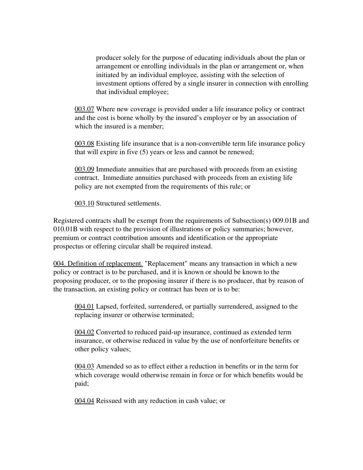producer solely for the purpose of educating individuals about the plan or arrangement or enrolling individuals in the plan or arrangement or, when initiated by an individual employee, assisting with the selection of investment options offered by a single insurer in connection with enrolling that individual employee;

003.07 Where new coverage is provided under a life insurance policy or contract and the cost is borne wholly by the insured's employer or by an association of which the insured is a member;

003.08 Existing life insurance that is a non-convertible term life insurance policy that will expire in five (5) years or less and cannot be renewed;

003.09 Immediate annuities that are purchased with proceeds from an existing contract. Immediate annuities purchased with proceeds from an existing life policy are not exempted from the requirements of this rule; or

003.10 Structured settlements.

Registered contracts shall be exempt from the requirements of Subsection(s) 009.01B and 010.01B with respect to the provision of illustrations or policy summaries; however, premium or contract contribution amounts and identification or the appropriate prospectus or offering circular shall be required instead.

004. Definition of replacement. "Replacement" means any transaction in which a new policy or contract is to be purchased, and it is known or should be known to the proposing producer, or to the proposing insurer if there is no producer, that by reason of the transaction, an existing policy or contract has been or is to be:

004.01 Lapsed, forfeited, surrendered, or partially surrendered, assigned to the replacing insurer or otherwise terminated;

 $004.02$  Converted to reduced paid-up insurance, continued as extended term insurance, or otherwise reduced in value by the use of nonforfeiture benefits or other policy values;

004.03 Amended so as to effect either a reduction in benefits or in the term for which coverage would otherwise remain in force or for which benefits would be paid;

004.04 Reissued with any reduction in cash value; or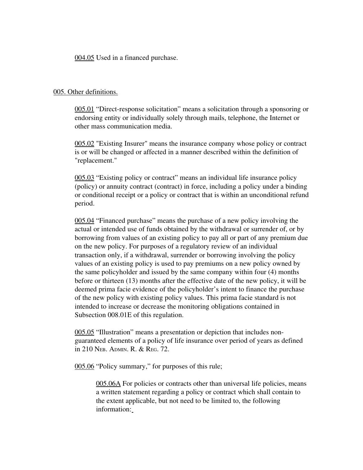004.05 Used in a financed purchase.

### 005. Other definitions.

005.01 "Direct-response solicitation" means a solicitation through a sponsoring or endorsing entity or individually solely through mails, telephone, the Internet or other mass communication media.

005.02 "Existing Insurer" means the insurance company whose policy or contract is or will be changed or affected in a manner described within the definition of "replacement."

005.03 "Existing policy or contract" means an individual life insurance policy (policy) or annuity contract (contract) in force, including a policy under a binding or conditional receipt or a policy or contract that is within an unconditional refund period.

005.04 "Financed purchase" means the purchase of a new policy involving the actual or intended use of funds obtained by the withdrawal or surrender of, or by borrowing from values of an existing policy to pay all or part of any premium due on the new policy. For purposes of a regulatory review of an individual transaction only, if a withdrawal, surrender or borrowing involving the policy values of an existing policy is used to pay premiums on a new policy owned by the same policyholder and issued by the same company within four (4) months before or thirteen (13) months after the effective date of the new policy, it will be deemed prima facie evidence of the policyholder's intent to finance the purchase of the new policy with existing policy values. This prima facie standard is not intended to increase or decrease the monitoring obligations contained in Subsection 008.01E of this regulation.

005.05 "Illustration" means a presentation or depiction that includes nonguaranteed elements of a policy of life insurance over period of years as defined in 210 NEB. ADMIN. R. & REG. 72.

005.06 "Policy summary," for purposes of this rule;

005.06A For policies or contracts other than universal life policies, means a written statement regarding a policy or contract which shall contain to the extent applicable, but not need to be limited to, the following information: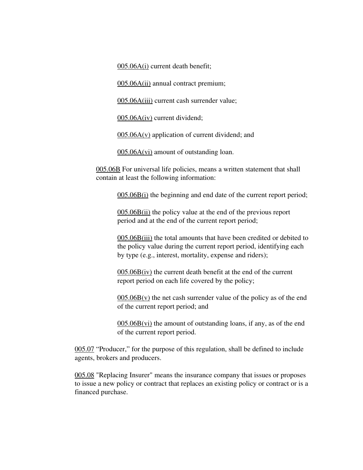005.06A(i) current death benefit;

005.06A(ii) annual contract premium;

005.06A(iii) current cash surrender value;

005.06A(iv) current dividend;

 $005.06A(v)$  application of current dividend; and

005.06A(vi) amount of outstanding loan.

005.06B For universal life policies, means a written statement that shall contain at least the following information:

005.06B(i) the beginning and end date of the current report period;

005.06B(ii) the policy value at the end of the previous report period and at the end of the current report period;

005.06B(iii) the total amounts that have been credited or debited to the policy value during the current report period, identifying each by type (e.g., interest, mortality, expense and riders);

 $005.06B(iv)$  the current death benefit at the end of the current report period on each life covered by the policy;

 $005.06B(v)$  the net cash surrender value of the policy as of the end of the current report period; and

005.06B(vi) the amount of outstanding loans, if any, as of the end of the current report period.

005.07 "Producer," for the purpose of this regulation, shall be defined to include agents, brokers and producers.

005.08 "Replacing Insurer" means the insurance company that issues or proposes to issue a new policy or contract that replaces an existing policy or contract or is a financed purchase.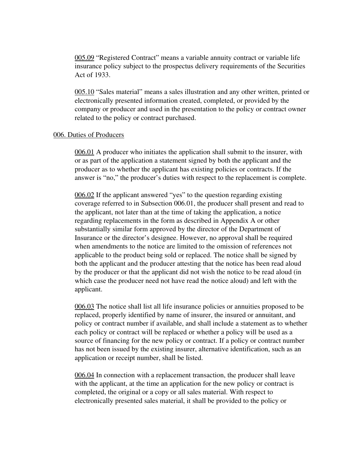005.09 "Registered Contract" means a variable annuity contract or variable life insurance policy subject to the prospectus delivery requirements of the Securities Act of 1933.

005.10 "Sales material" means a sales illustration and any other written, printed or electronically presented information created, completed, or provided by the company or producer and used in the presentation to the policy or contract owner related to the policy or contract purchased.

### 006. Duties of Producers

006.01 A producer who initiates the application shall submit to the insurer, with or as part of the application a statement signed by both the applicant and the producer as to whether the applicant has existing policies or contracts. If the answer is "no," the producer's duties with respect to the replacement is complete.

006.02 If the applicant answered "yes" to the question regarding existing coverage referred to in Subsection 006.01, the producer shall present and read to the applicant, not later than at the time of taking the application, a notice regarding replacements in the form as described in Appendix A or other substantially similar form approved by the director of the Department of Insurance or the director's designee. However, no approval shall be required when amendments to the notice are limited to the omission of references not applicable to the product being sold or replaced. The notice shall be signed by both the applicant and the producer attesting that the notice has been read aloud by the producer or that the applicant did not wish the notice to be read aloud (in which case the producer need not have read the notice aloud) and left with the applicant.

006.03 The notice shall list all life insurance policies or annuities proposed to be replaced, properly identified by name of insurer, the insured or annuitant, and policy or contract number if available, and shall include a statement as to whether each policy or contract will be replaced or whether a policy will be used as a source of financing for the new policy or contract. If a policy or contract number has not been issued by the existing insurer, alternative identification, such as an application or receipt number, shall be listed.

006.04 In connection with a replacement transaction, the producer shall leave with the applicant, at the time an application for the new policy or contract is completed, the original or a copy or all sales material. With respect to electronically presented sales material, it shall be provided to the policy or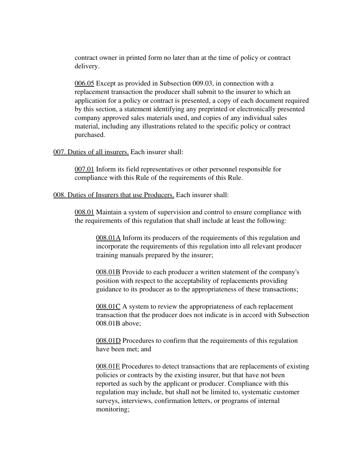contract owner in printed form no later than at the time of policy or contract delivery.

006.05 Except as provided in Subsection 009.03, in connection with a replacement transaction the producer shall submit to the insurer to which an application for a policy or contract is presented, a copy of each document required by this section, a statement identifying any preprinted or electronically presented company approved sales materials used, and copies of any individual sales material, including any illustrations related to the specific policy or contract purchased.

#### 007. Duties of all insurers. Each insurer shall:

007.01 Inform its field representatives or other personnel responsible for compliance with this Rule of the requirements of this Rule.

#### 008. Duties of Insurers that use Producers. Each insurer shall:

008.01 Maintain a system of supervision and control to ensure compliance with the requirements of this regulation that shall include at least the following:

008.01A Inform its producers of the requirements of this regulation and incorporate the requirements of this regulation into all relevant producer training manuals prepared by the insurer;

008.01B Provide to each producer a written statement of the company's position with respect to the acceptability of replacements providing guidance to its producer as to the appropriateness of these transactions;

008.01C A system to review the appropriateness of each replacement transaction that the producer does not indicate is in accord with Subsection 008.01B above;

008.01D Procedures to confirm that the requirements of this regulation have been met; and

008.01E Procedures to detect transactions that are replacements of existing policies or contracts by the existing insurer, but that have not been reported as such by the applicant or producer. Compliance with this regulation may include, but shall not be limited to, systematic customer surveys, interviews, confirmation letters, or programs of internal monitoring;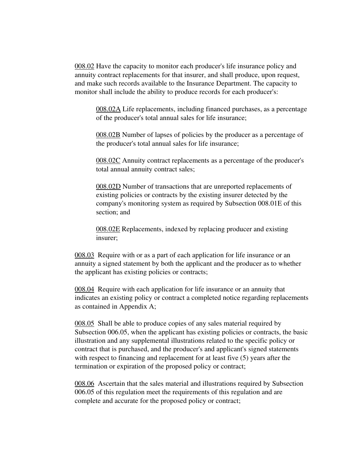008.02 Have the capacity to monitor each producer's life insurance policy and annuity contract replacements for that insurer, and shall produce, upon request, and make such records available to the Insurance Department. The capacity to monitor shall include the ability to produce records for each producer's:

008.02A Life replacements, including financed purchases, as a percentage of the producer's total annual sales for life insurance;

008.02B Number of lapses of policies by the producer as a percentage of the producer's total annual sales for life insurance;

008.02C Annuity contract replacements as a percentage of the producer's total annual annuity contract sales;

008.02D Number of transactions that are unreported replacements of existing policies or contracts by the existing insurer detected by the company's monitoring system as required by Subsection 008.01E of this section; and

008.02E Replacements, indexed by replacing producer and existing insurer;

008.03 Require with or as a part of each application for life insurance or an annuity a signed statement by both the applicant and the producer as to whether the applicant has existing policies or contracts;

008.04 Require with each application for life insurance or an annuity that indicates an existing policy or contract a completed notice regarding replacements as contained in Appendix A;

008.05 Shall be able to produce copies of any sales material required by Subsection 006.05, when the applicant has existing policies or contracts, the basic illustration and any supplemental illustrations related to the specific policy or contract that is purchased, and the producer's and applicant's signed statements with respect to financing and replacement for at least five (5) years after the termination or expiration of the proposed policy or contract;

008.06 Ascertain that the sales material and illustrations required by Subsection 006.05 of this regulation meet the requirements of this regulation and are complete and accurate for the proposed policy or contract;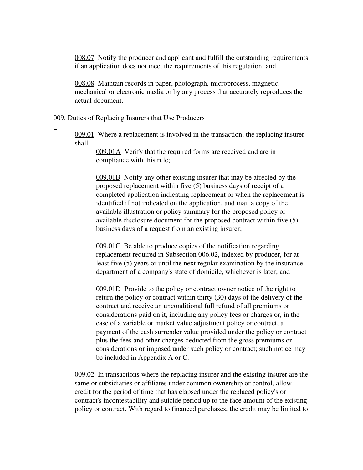008.07 Notify the producer and applicant and fulfill the outstanding requirements if an application does not meet the requirements of this regulation; and

008.08 Maintain records in paper, photograph, microprocess, magnetic, mechanical or electronic media or by any process that accurately reproduces the actual document.

### 009. Duties of Replacing Insurers that Use Producers

 $\overline{a}$ 

009.01 Where a replacement is involved in the transaction, the replacing insurer shall:

> 009.01A Verify that the required forms are received and are in compliance with this rule;

009.01B Notify any other existing insurer that may be affected by the proposed replacement within five (5) business days of receipt of a completed application indicating replacement or when the replacement is identified if not indicated on the application, and mail a copy of the available illustration or policy summary for the proposed policy or available disclosure document for the proposed contract within five (5) business days of a request from an existing insurer;

009.01C Be able to produce copies of the notification regarding replacement required in Subsection 006.02, indexed by producer, for at least five (5) years or until the next regular examination by the insurance department of a company's state of domicile, whichever is later; and

009.01D Provide to the policy or contract owner notice of the right to return the policy or contract within thirty (30) days of the delivery of the contract and receive an unconditional full refund of all premiums or considerations paid on it, including any policy fees or charges or, in the case of a variable or market value adjustment policy or contract, a payment of the cash surrender value provided under the policy or contract plus the fees and other charges deducted from the gross premiums or considerations or imposed under such policy or contract; such notice may be included in Appendix A or C.

009.02 In transactions where the replacing insurer and the existing insurer are the same or subsidiaries or affiliates under common ownership or control, allow credit for the period of time that has elapsed under the replaced policy's or contract's incontestability and suicide period up to the face amount of the existing policy or contract. With regard to financed purchases, the credit may be limited to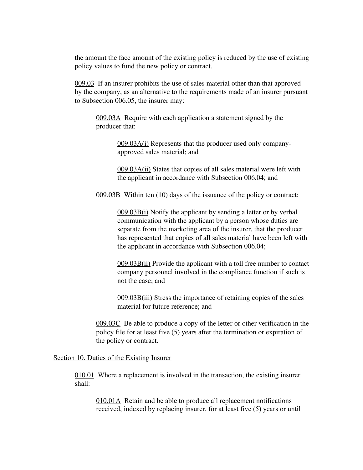the amount the face amount of the existing policy is reduced by the use of existing policy values to fund the new policy or contract.

009.03 If an insurer prohibits the use of sales material other than that approved by the company, as an alternative to the requirements made of an insurer pursuant to Subsection 006.05, the insurer may:

009.03A Require with each application a statement signed by the producer that:

> 009.03A(i) Represents that the producer used only companyapproved sales material; and

009.03A(ii) States that copies of all sales material were left with the applicant in accordance with Subsection 006.04; and

009.03B Within ten (10) days of the issuance of the policy or contract:

009.03B(i) Notify the applicant by sending a letter or by verbal communication with the applicant by a person whose duties are separate from the marketing area of the insurer, that the producer has represented that copies of all sales material have been left with the applicant in accordance with Subsection 006.04;

 $009.03B(i)$  Provide the applicant with a toll free number to contact company personnel involved in the compliance function if such is not the case; and

009.03B(iii) Stress the importance of retaining copies of the sales material for future reference; and

009.03C Be able to produce a copy of the letter or other verification in the policy file for at least five (5) years after the termination or expiration of the policy or contract.

Section 10. Duties of the Existing Insurer

010.01 Where a replacement is involved in the transaction, the existing insurer shall:

010.01A Retain and be able to produce all replacement notifications received, indexed by replacing insurer, for at least five (5) years or until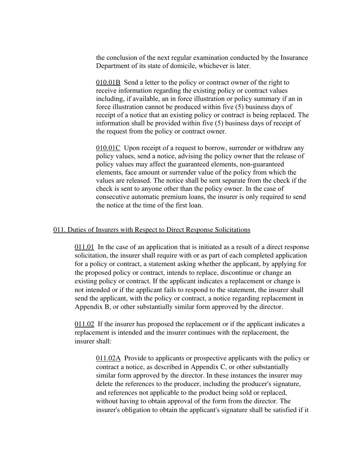the conclusion of the next regular examination conducted by the Insurance Department of its state of domicile, whichever is later.

010.01B Send a letter to the policy or contract owner of the right to receive information regarding the existing policy or contract values including, if available, an in force illustration or policy summary if an in force illustration cannot be produced within five (5) business days of receipt of a notice that an existing policy or contract is being replaced. The information shall be provided within five (5) business days of receipt of the request from the policy or contract owner.

010.01C Upon receipt of a request to borrow, surrender or withdraw any policy values, send a notice, advising the policy owner that the release of policy values may affect the guaranteed elements, non-guaranteed elements, face amount or surrender value of the policy from which the values are released. The notice shall be sent separate from the check if the check is sent to anyone other than the policy owner. In the case of consecutive automatic premium loans, the insurer is only required to send the notice at the time of the first loan.

### 011. Duties of Insurers with Respect to Direct Response Solicitations

011.01 In the case of an application that is initiated as a result of a direct response solicitation, the insurer shall require with or as part of each completed application for a policy or contract, a statement asking whether the applicant, by applying for the proposed policy or contract, intends to replace, discontinue or change an existing policy or contract. If the applicant indicates a replacement or change is not intended or if the applicant fails to respond to the statement, the insurer shall send the applicant, with the policy or contract, a notice regarding replacement in Appendix B, or other substantially similar form approved by the director.

011.02 If the insurer has proposed the replacement or if the applicant indicates a replacement is intended and the insurer continues with the replacement, the insurer shall:

011.02A Provide to applicants or prospective applicants with the policy or contract a notice, as described in Appendix C, or other substantially similar form approved by the director. In these instances the insurer may delete the references to the producer, including the producer's signature, and references not applicable to the product being sold or replaced, without having to obtain approval of the form from the director. The insurer's obligation to obtain the applicant's signature shall be satisfied if it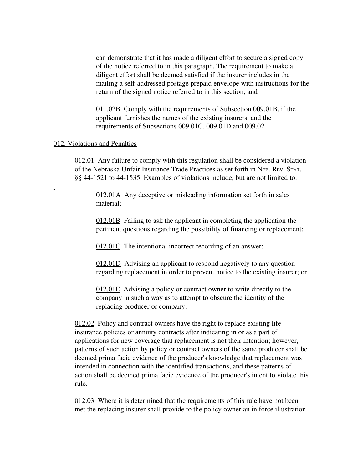can demonstrate that it has made a diligent effort to secure a signed copy of the notice referred to in this paragraph. The requirement to make a diligent effort shall be deemed satisfied if the insurer includes in the mailing a self-addressed postage prepaid envelope with instructions for the return of the signed notice referred to in this section; and

011.02B Comply with the requirements of Subsection 009.01B, if the applicant furnishes the names of the existing insurers, and the requirements of Subsections 009.01C, 009.01D and 009.02.

### 012. Violations and Penalties

 $\overline{a}$ 

012.01 Any failure to comply with this regulation shall be considered a violation of the Nebraska Unfair Insurance Trade Practices as set forth in NEB. REV. STAT. §§ 44-1521 to 44-1535. Examples of violations include, but are not limited to:

012.01A Any deceptive or misleading information set forth in sales material;

012.01B Failing to ask the applicant in completing the application the pertinent questions regarding the possibility of financing or replacement;

012.01C The intentional incorrect recording of an answer;

012.01D Advising an applicant to respond negatively to any question regarding replacement in order to prevent notice to the existing insurer; or

012.01E Advising a policy or contract owner to write directly to the company in such a way as to attempt to obscure the identity of the replacing producer or company.

012.02 Policy and contract owners have the right to replace existing life insurance policies or annuity contracts after indicating in or as a part of applications for new coverage that replacement is not their intention; however, patterns of such action by policy or contract owners of the same producer shall be deemed prima facie evidence of the producer's knowledge that replacement was intended in connection with the identified transactions, and these patterns of action shall be deemed prima facie evidence of the producer's intent to violate this rule.

012.03 Where it is determined that the requirements of this rule have not been met the replacing insurer shall provide to the policy owner an in force illustration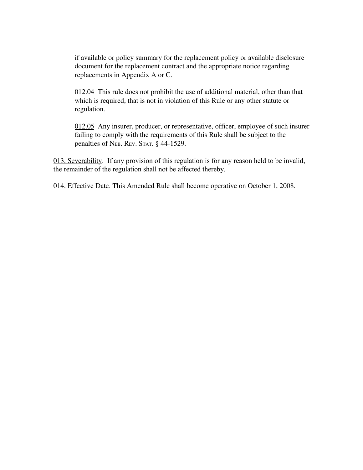if available or policy summary for the replacement policy or available disclosure document for the replacement contract and the appropriate notice regarding replacements in Appendix A or C.

012.04 This rule does not prohibit the use of additional material, other than that which is required, that is not in violation of this Rule or any other statute or regulation.

012.05 Any insurer, producer, or representative, officer, employee of such insurer failing to comply with the requirements of this Rule shall be subject to the penalties of NEB. REV. STAT. § 44-1529.

013. Severability. If any provision of this regulation is for any reason held to be invalid, the remainder of the regulation shall not be affected thereby.

014. Effective Date. This Amended Rule shall become operative on October 1, 2008.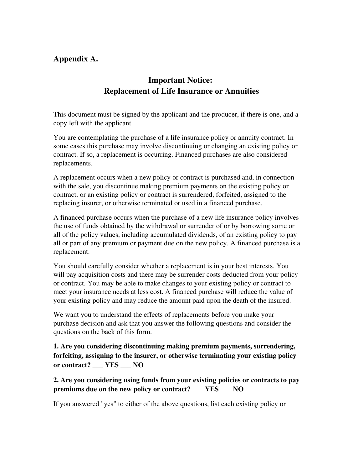# Appendix A.

# Important Notice: Replacement of Life Insurance or Annuities

This document must be signed by the applicant and the producer, if there is one, and a copy left with the applicant.

You are contemplating the purchase of a life insurance policy or annuity contract. In some cases this purchase may involve discontinuing or changing an existing policy or contract. If so, a replacement is occurring. Financed purchases are also considered replacements.

A replacement occurs when a new policy or contract is purchased and, in connection with the sale, you discontinue making premium payments on the existing policy or contract, or an existing policy or contract is surrendered, forfeited, assigned to the replacing insurer, or otherwise terminated or used in a financed purchase.

A financed purchase occurs when the purchase of a new life insurance policy involves the use of funds obtained by the withdrawal or surrender of or by borrowing some or all of the policy values, including accumulated dividends, of an existing policy to pay all or part of any premium or payment due on the new policy. A financed purchase is a replacement.

You should carefully consider whether a replacement is in your best interests. You will pay acquisition costs and there may be surrender costs deducted from your policy or contract. You may be able to make changes to your existing policy or contract to meet your insurance needs at less cost. A financed purchase will reduce the value of your existing policy and may reduce the amount paid upon the death of the insured.

We want you to understand the effects of replacements before you make your purchase decision and ask that you answer the following questions and consider the questions on the back of this form.

1. Are you considering discontinuing making premium payments, surrendering, forfeiting, assigning to the insurer, or otherwise terminating your existing policy or contract? \_\_\_ YES \_\_\_ NO

2. Are you considering using funds from your existing policies or contracts to pay premiums due on the new policy or contract? \_\_\_ YES \_\_\_ NO

If you answered "yes" to either of the above questions, list each existing policy or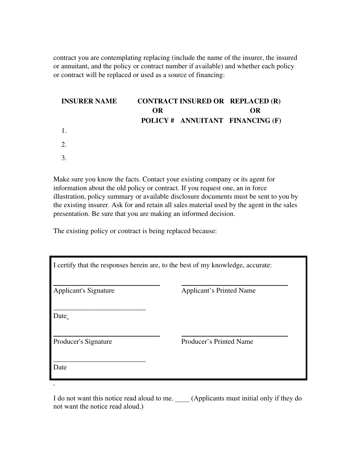contract you are contemplating replacing (include the name of the insurer, the insured or annuitant, and the policy or contract number if available) and whether each policy or contract will be replaced or used as a source of financing:

## **INSURER NAME** OR CONTRACT INSURED OR REPLACED (R) OR POLICY # ANNUITANT FINANCING (F) 1. 2. 3.

Make sure you know the facts. Contact your existing company or its agent for information about the old policy or contract. If you request one, an in force illustration, policy summary or available disclosure documents must be sent to you by the existing insurer. Ask for and retain all sales material used by the agent in the sales presentation. Be sure that you are making an informed decision.

The existing policy or contract is being replaced because:

| I certify that the responses herein are, to the best of my knowledge, accurate: |                                 |
|---------------------------------------------------------------------------------|---------------------------------|
| <b>Applicant's Signature</b>                                                    | <b>Applicant's Printed Name</b> |
| Date                                                                            |                                 |
| Producer's Signature                                                            | Producer's Printed Name         |
| Date                                                                            |                                 |
|                                                                                 |                                 |

I do not want this notice read aloud to me. (Applicants must initial only if they do not want the notice read aloud.)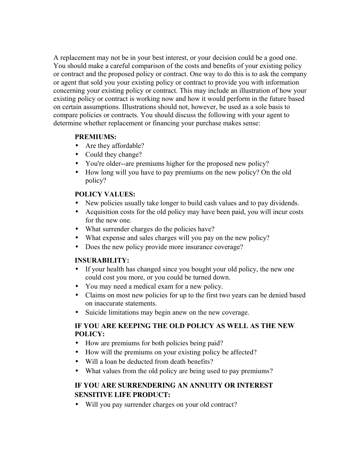A replacement may not be in your best interest, or your decision could be a good one. You should make a careful comparison of the costs and benefits of your existing policy or contract and the proposed policy or contract. One way to do this is to ask the company or agent that sold you your existing policy or contract to provide you with information concerning your existing policy or contract. This may include an illustration of how your existing policy or contract is working now and how it would perform in the future based on certain assumptions. Illustrations should not, however, be used as a sole basis to compare policies or contracts. You should discuss the following with your agent to determine whether replacement or financing your purchase makes sense:

### **PREMIUMS:**

- Are they affordable?
- Could they change?
- You're older--are premiums higher for the proposed new policy?
- How long will you have to pay premiums on the new policy? On the old policy?

## **POLICY VALUES:**

- New policies usually take longer to build cash values and to pay dividends.
- Acquisition costs for the old policy may have been paid, you will incur costs for the new one.
- What surrender charges do the policies have?
- What expense and sales charges will you pay on the new policy?
- Does the new policy provide more insurance coverage?

## **INSURABILITY:**

- If your health has changed since you bought your old policy, the new one could cost you more, or you could be turned down.
- You may need a medical exam for a new policy.
- Claims on most new policies for up to the first two years can be denied based on inaccurate statements.
- Suicide limitations may begin anew on the new coverage.

## **IF YOU ARE KEEPING THE OLD POLICY AS WELL AS THE NEW POLICY:**

- How are premiums for both policies being paid?
- How will the premiums on your existing policy be affected?
- Will a loan be deducted from death benefits?
- What values from the old policy are being used to pay premiums?

## IF YOU ARE SURRENDERING AN ANNUITY OR INTEREST SENSITIVE LIFE PRODUCT:

• Will you pay surrender charges on your old contract?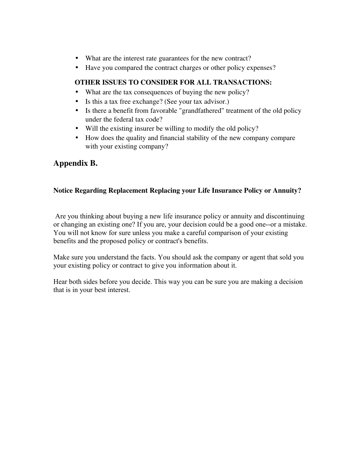- What are the interest rate guarantees for the new contract?
- Have you compared the contract charges or other policy expenses?

## OTHER ISSUES TO CONSIDER FOR ALL TRANSACTIONS:

- What are the tax consequences of buying the new policy?
- Is this a tax free exchange? (See your tax advisor.)
- Is there a benefit from favorable "grandfathered" treatment of the old policy under the federal tax code?
- Will the existing insurer be willing to modify the old policy?
- How does the quality and financial stability of the new company compare with your existing company?

# Appendix B.

## Notice Regarding Replacement Replacing your Life Insurance Policy or Annuity?

Are you thinking about buying a new life insurance policy or annuity and discontinuing or changing an existing one? If you are, your decision could be a good one--or a mistake. You will not know for sure unless you make a careful comparison of your existing benefits and the proposed policy or contract's benefits.

Make sure you understand the facts. You should ask the company or agent that sold you your existing policy or contract to give you information about it.

Hear both sides before you decide. This way you can be sure you are making a decision that is in your best interest.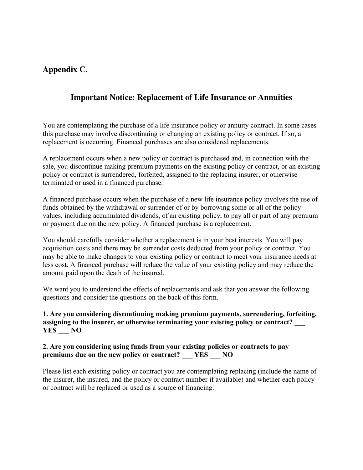# Appendix C.

# Important Notice: Replacement of Life Insurance or Annuities

You are contemplating the purchase of a life insurance policy or annuity contract. In some cases this purchase may involve discontinuing or changing an existing policy or contract. If so, a replacement is occurring. Financed purchases are also considered replacements.

A replacement occurs when a new policy or contract is purchased and, in connection with the sale, you discontinue making premium payments on the existing policy or contract, or an existing policy or contract is surrendered, forfeited, assigned to the replacing insurer, or otherwise terminated or used in a financed purchase.

A financed purchase occurs when the purchase of a new life insurance policy involves the use of funds obtained by the withdrawal or surrender of or by borrowing some or all of the policy values, including accumulated dividends, of an existing policy, to pay all or part of any premium or payment due on the new policy. A financed purchase is a replacement.

You should carefully consider whether a replacement is in your best interests. You will pay acquisition costs and there may be surrender costs deducted from your policy or contract. You may be able to make changes to your existing policy or contract to meet your insurance needs at less cost. A financed purchase will reduce the value of your existing policy and may reduce the amount paid upon the death of the insured.

We want you to understand the effects of replacements and ask that you answer the following questions and consider the questions on the back of this form.

## **1. Are you considering discontinuing making premium payments, surrendering, forfeiting,** assigning to the insurer, or otherwise terminating your existing policy or contract? **YES \_\_\_ NO**

### **2. Are you considering using funds from your existing policies or contracts to pay premiums due on the new policy or contract? \_\_\_ YES \_\_\_ NO**

Please list each existing policy or contract you are contemplating replacing (include the name of the insurer, the insured, and the policy or contract number if available) and whether each policy or contract will be replaced or used as a source of financing: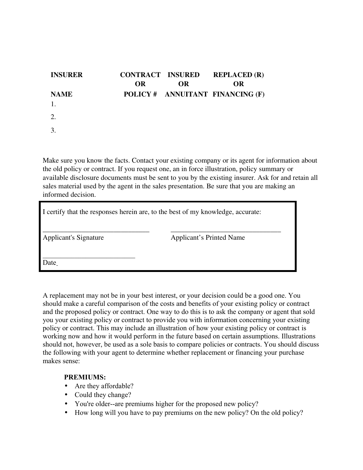| <b>INSURER</b> | <b>OR</b> | <b>CONTRACT INSURED</b><br><b>OR</b> | <b>REPLACED (R)</b><br><b>OR</b> |
|----------------|-----------|--------------------------------------|----------------------------------|
| <b>NAME</b>    |           |                                      | POLICY # ANNUITANT FINANCING (F) |
|                |           |                                      |                                  |
|                |           |                                      |                                  |
|                |           |                                      |                                  |

Make sure you know the facts. Contact your existing company or its agent for information about the old policy or contract. If you request one, an in force illustration, policy summary or available disclosure documents must be sent to you by the existing insurer. Ask for and retain all sales material used by the agent in the sales presentation. Be sure that you are making an informed decision.

| I certify that the responses herein are, to the best of my knowledge, accurate: |                          |  |  |
|---------------------------------------------------------------------------------|--------------------------|--|--|
| Applicant's Signature                                                           | Applicant's Printed Name |  |  |
| Date                                                                            |                          |  |  |

A replacement may not be in your best interest, or your decision could be a good one. You should make a careful comparison of the costs and benefits of your existing policy or contract and the proposed policy or contract. One way to do this is to ask the company or agent that sold you your existing policy or contract to provide you with information concerning your existing policy or contract. This may include an illustration of how your existing policy or contract is working now and how it would perform in the future based on certain assumptions. Illustrations should not, however, be used as a sole basis to compare policies or contracts. You should discuss the following with your agent to determine whether replacement or financing your purchase makes sense:

### **PREMIUMS:**

- Are they affordable?
- Could they change?
- You're older--are premiums higher for the proposed new policy?
- How long will you have to pay premiums on the new policy? On the old policy?